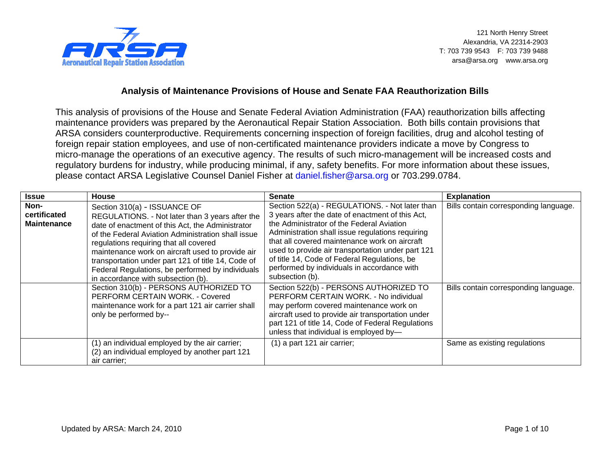

121 North Henry Street Alexandria, VA 22314-2903 T: 703 739 9543 F: 703 739 9488 arsa@arsa.org www.arsa.org

## **Analysis of Maintenance Provisions of House and Senate FAA Reauthorization Bills**

This analysis of provisions of the House and Senate Federal Aviation Administration (FAA) reauthorization bills affecting maintenance providers was prepared by the Aeronautical Repair Station Association. Both bills contain provisions that ARSA considers counterproductive. Requirements concerning inspection of foreign facilities, drug and alcohol testing of foreign repair station employees, and use of non-certificated maintenance providers indicate a move by Congress to micro-manage the operations of an executive agency. The results of such micro-management will be increased costs and regulatory burdens for industry, while producing minimal, if any, safety benefits. For more information about these issues, please contact ARSA Legislative Counsel Daniel Fisher at [daniel.fisher@arsa.org](mailto:daniel.fisher@arsa.org) or 703.299.0784.

| <b>Issue</b>                               | <b>House</b>                                                                                                                                                                                                                                                                                                                                                                                                                                                                                                                                                                                        | <b>Senate</b>                                                                                                                                                                                                                                                                                                                                                                                                                                                                                                                                                                                                                                                                                                 | <b>Explanation</b>                                                             |
|--------------------------------------------|-----------------------------------------------------------------------------------------------------------------------------------------------------------------------------------------------------------------------------------------------------------------------------------------------------------------------------------------------------------------------------------------------------------------------------------------------------------------------------------------------------------------------------------------------------------------------------------------------------|---------------------------------------------------------------------------------------------------------------------------------------------------------------------------------------------------------------------------------------------------------------------------------------------------------------------------------------------------------------------------------------------------------------------------------------------------------------------------------------------------------------------------------------------------------------------------------------------------------------------------------------------------------------------------------------------------------------|--------------------------------------------------------------------------------|
| Non-<br>certificated<br><b>Maintenance</b> | Section 310(a) - ISSUANCE OF<br>REGULATIONS. - Not later than 3 years after the<br>date of enactment of this Act, the Administrator<br>of the Federal Aviation Administration shall issue<br>regulations requiring that all covered<br>maintenance work on aircraft used to provide air<br>transportation under part 121 of title 14, Code of<br>Federal Regulations, be performed by individuals<br>in accordance with subsection (b).<br>Section 310(b) - PERSONS AUTHORIZED TO<br>PERFORM CERTAIN WORK. - Covered<br>maintenance work for a part 121 air carrier shall<br>only be performed by-- | Section 522(a) - REGULATIONS. - Not later than<br>3 years after the date of enactment of this Act,<br>the Administrator of the Federal Aviation<br>Administration shall issue regulations requiring<br>that all covered maintenance work on aircraft<br>used to provide air transportation under part 121<br>of title 14, Code of Federal Regulations, be<br>performed by individuals in accordance with<br>subsection (b).<br>Section 522(b) - PERSONS AUTHORIZED TO<br>PERFORM CERTAIN WORK. - No individual<br>may perform covered maintenance work on<br>aircraft used to provide air transportation under<br>part 121 of title 14, Code of Federal Regulations<br>unless that individual is employed by- | Bills contain corresponding language.<br>Bills contain corresponding language. |
|                                            | (1) an individual employed by the air carrier;<br>(2) an individual employed by another part 121<br>air carrier:                                                                                                                                                                                                                                                                                                                                                                                                                                                                                    | $(1)$ a part 121 air carrier;                                                                                                                                                                                                                                                                                                                                                                                                                                                                                                                                                                                                                                                                                 | Same as existing regulations                                                   |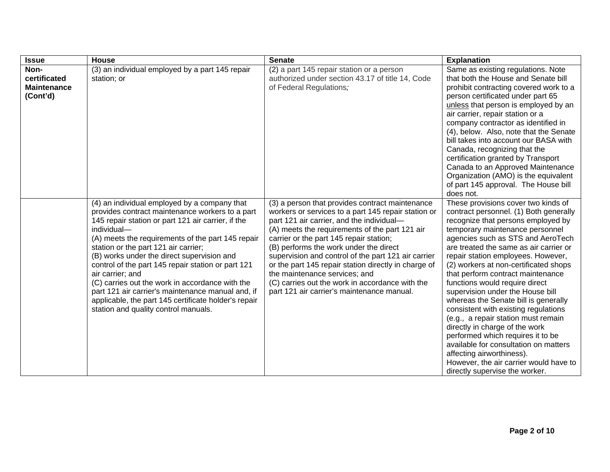| <b>Issue</b>                                           | <b>House</b>                                                                                                                                                                                                                                                                                                                                                                                                                                                                                                                                                                                      | <b>Senate</b>                                                                                                                                                                                                                                                                                                                                                                                                                                                                                                                               | <b>Explanation</b>                                                                                                                                                                                                                                                                                                                                                                                                                                                                                                                                                                                                                                                                                                                                                              |
|--------------------------------------------------------|---------------------------------------------------------------------------------------------------------------------------------------------------------------------------------------------------------------------------------------------------------------------------------------------------------------------------------------------------------------------------------------------------------------------------------------------------------------------------------------------------------------------------------------------------------------------------------------------------|---------------------------------------------------------------------------------------------------------------------------------------------------------------------------------------------------------------------------------------------------------------------------------------------------------------------------------------------------------------------------------------------------------------------------------------------------------------------------------------------------------------------------------------------|---------------------------------------------------------------------------------------------------------------------------------------------------------------------------------------------------------------------------------------------------------------------------------------------------------------------------------------------------------------------------------------------------------------------------------------------------------------------------------------------------------------------------------------------------------------------------------------------------------------------------------------------------------------------------------------------------------------------------------------------------------------------------------|
| Non-<br>certificated<br><b>Maintenance</b><br>(Cont'd) | (3) an individual employed by a part 145 repair<br>station; or                                                                                                                                                                                                                                                                                                                                                                                                                                                                                                                                    | (2) a part 145 repair station or a person<br>authorized under section 43.17 of title 14, Code<br>of Federal Regulations;                                                                                                                                                                                                                                                                                                                                                                                                                    | Same as existing regulations. Note<br>that both the House and Senate bill<br>prohibit contracting covered work to a<br>person certificated under part 65<br>unless that person is employed by an<br>air carrier, repair station or a<br>company contractor as identified in<br>(4), below. Also, note that the Senate<br>bill takes into account our BASA with<br>Canada, recognizing that the<br>certification granted by Transport<br>Canada to an Approved Maintenance<br>Organization (AMO) is the equivalent<br>of part 145 approval. The House bill<br>does not.                                                                                                                                                                                                          |
|                                                        | (4) an individual employed by a company that<br>provides contract maintenance workers to a part<br>145 repair station or part 121 air carrier, if the<br>individual-<br>(A) meets the requirements of the part 145 repair<br>station or the part 121 air carrier;<br>(B) works under the direct supervision and<br>control of the part 145 repair station or part 121<br>air carrier; and<br>(C) carries out the work in accordance with the<br>part 121 air carrier's maintenance manual and, if<br>applicable, the part 145 certificate holder's repair<br>station and quality control manuals. | (3) a person that provides contract maintenance<br>workers or services to a part 145 repair station or<br>part 121 air carrier, and the individual-<br>(A) meets the requirements of the part 121 air<br>carrier or the part 145 repair station;<br>(B) performs the work under the direct<br>supervision and control of the part 121 air carrier<br>or the part 145 repair station directly in charge of<br>the maintenance services; and<br>(C) carries out the work in accordance with the<br>part 121 air carrier's maintenance manual. | These provisions cover two kinds of<br>contract personnel. (1) Both generally<br>recognize that persons employed by<br>temporary maintenance personnel<br>agencies such as STS and AeroTech<br>are treated the same as air carrier or<br>repair station employees. However,<br>(2) workers at non-certificated shops<br>that perform contract maintenance<br>functions would require direct<br>supervision under the House bill<br>whereas the Senate bill is generally<br>consistent with existing regulations<br>(e.g., a repair station must remain<br>directly in charge of the work<br>performed which requires it to be<br>available for consultation on matters<br>affecting airworthiness).<br>However, the air carrier would have to<br>directly supervise the worker. |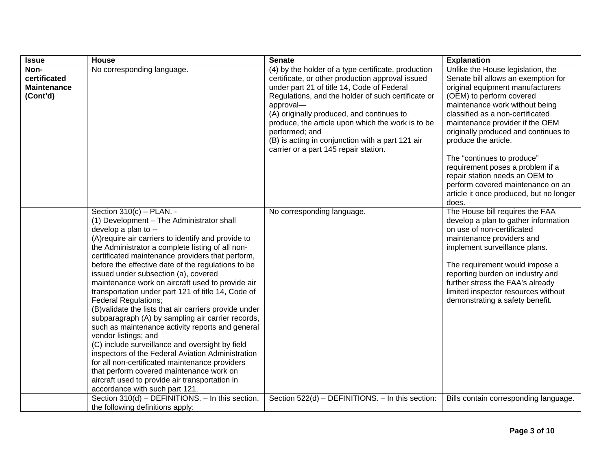| <b>Issue</b>                                           | House                                                                                                                                                                                                                                                                                                                                                                                                                                                                                                                                                                                                                                                                                                                                                                                                                                                                                                                                                                                      | <b>Senate</b>                                                                                                                                                                                                                                                                                                                                                                                                                             | <b>Explanation</b>                                                                                                                                                                                                                                                                                                                                                                                                                                                                                    |
|--------------------------------------------------------|--------------------------------------------------------------------------------------------------------------------------------------------------------------------------------------------------------------------------------------------------------------------------------------------------------------------------------------------------------------------------------------------------------------------------------------------------------------------------------------------------------------------------------------------------------------------------------------------------------------------------------------------------------------------------------------------------------------------------------------------------------------------------------------------------------------------------------------------------------------------------------------------------------------------------------------------------------------------------------------------|-------------------------------------------------------------------------------------------------------------------------------------------------------------------------------------------------------------------------------------------------------------------------------------------------------------------------------------------------------------------------------------------------------------------------------------------|-------------------------------------------------------------------------------------------------------------------------------------------------------------------------------------------------------------------------------------------------------------------------------------------------------------------------------------------------------------------------------------------------------------------------------------------------------------------------------------------------------|
| Non-<br>certificated<br><b>Maintenance</b><br>(Cont'd) | No corresponding language.                                                                                                                                                                                                                                                                                                                                                                                                                                                                                                                                                                                                                                                                                                                                                                                                                                                                                                                                                                 | (4) by the holder of a type certificate, production<br>certificate, or other production approval issued<br>under part 21 of title 14, Code of Federal<br>Regulations, and the holder of such certificate or<br>approval-<br>(A) originally produced, and continues to<br>produce, the article upon which the work is to be<br>performed; and<br>(B) is acting in conjunction with a part 121 air<br>carrier or a part 145 repair station. | Unlike the House legislation, the<br>Senate bill allows an exemption for<br>original equipment manufacturers<br>(OEM) to perform covered<br>maintenance work without being<br>classified as a non-certificated<br>maintenance provider if the OEM<br>originally produced and continues to<br>produce the article.<br>The "continues to produce"<br>requirement poses a problem if a<br>repair station needs an OEM to<br>perform covered maintenance on an<br>article it once produced, but no longer |
|                                                        | Section $310(c)$ - PLAN. -<br>(1) Development - The Administrator shall<br>develop a plan to --<br>(A) require air carriers to identify and provide to<br>the Administrator a complete listing of all non-<br>certificated maintenance providers that perform,<br>before the effective date of the regulations to be<br>issued under subsection (a), covered<br>maintenance work on aircraft used to provide air<br>transportation under part 121 of title 14, Code of<br><b>Federal Regulations;</b><br>(B) validate the lists that air carriers provide under<br>subparagraph (A) by sampling air carrier records,<br>such as maintenance activity reports and general<br>vendor listings; and<br>(C) include surveillance and oversight by field<br>inspectors of the Federal Aviation Administration<br>for all non-certificated maintenance providers<br>that perform covered maintenance work on<br>aircraft used to provide air transportation in<br>accordance with such part 121. | No corresponding language.                                                                                                                                                                                                                                                                                                                                                                                                                | does.<br>The House bill requires the FAA<br>develop a plan to gather information<br>on use of non-certificated<br>maintenance providers and<br>implement surveillance plans.<br>The requirement would impose a<br>reporting burden on industry and<br>further stress the FAA's already<br>limited inspector resources without<br>demonstrating a safety benefit.                                                                                                                                      |
|                                                        | Section 310(d) - DEFINITIONS. - In this section,<br>the following definitions apply:                                                                                                                                                                                                                                                                                                                                                                                                                                                                                                                                                                                                                                                                                                                                                                                                                                                                                                       | Section 522(d) - DEFINITIONS. - In this section:                                                                                                                                                                                                                                                                                                                                                                                          | Bills contain corresponding language.                                                                                                                                                                                                                                                                                                                                                                                                                                                                 |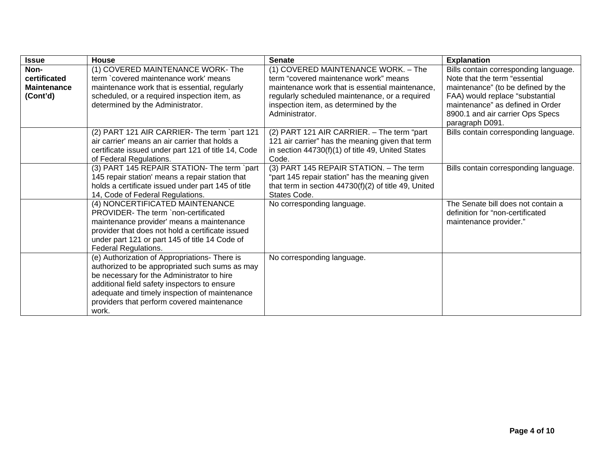| <b>Issue</b>                                           | <b>House</b>                                                                                                                                                                                                                                                                                          | <b>Senate</b>                                                                                                                                                                                                                                | <b>Explanation</b>                                                                                                                                                                                                                         |
|--------------------------------------------------------|-------------------------------------------------------------------------------------------------------------------------------------------------------------------------------------------------------------------------------------------------------------------------------------------------------|----------------------------------------------------------------------------------------------------------------------------------------------------------------------------------------------------------------------------------------------|--------------------------------------------------------------------------------------------------------------------------------------------------------------------------------------------------------------------------------------------|
| Non-<br>certificated<br><b>Maintenance</b><br>(Cont'd) | (1) COVERED MAINTENANCE WORK- The<br>term `covered maintenance work' means<br>maintenance work that is essential, regularly<br>scheduled, or a required inspection item, as<br>determined by the Administrator.                                                                                       | (1) COVERED MAINTENANCE WORK. - The<br>term "covered maintenance work" means<br>maintenance work that is essential maintenance.<br>regularly scheduled maintenance, or a required<br>inspection item, as determined by the<br>Administrator. | Bills contain corresponding language.<br>Note that the term "essential<br>maintenance" (to be defined by the<br>FAA) would replace "substantial<br>maintenance" as defined in Order<br>8900.1 and air carrier Ops Specs<br>paragraph D091. |
|                                                        | (2) PART 121 AIR CARRIER- The term `part 121<br>air carrier' means an air carrier that holds a<br>certificate issued under part 121 of title 14, Code<br>of Federal Regulations.                                                                                                                      | (2) PART 121 AIR CARRIER. - The term "part<br>121 air carrier" has the meaning given that term<br>in section 44730(f)(1) of title 49, United States<br>Code.                                                                                 | Bills contain corresponding language.                                                                                                                                                                                                      |
|                                                        | (3) PART 145 REPAIR STATION- The term `part<br>145 repair station' means a repair station that<br>holds a certificate issued under part 145 of title<br>14, Code of Federal Regulations.                                                                                                              | (3) PART 145 REPAIR STATION. - The term<br>"part 145 repair station" has the meaning given<br>that term in section $44730(f)(2)$ of title 49, United<br>States Code.                                                                         | Bills contain corresponding language.                                                                                                                                                                                                      |
|                                                        | (4) NONCERTIFICATED MAINTENANCE<br>PROVIDER- The term `non-certificated<br>maintenance provider' means a maintenance<br>provider that does not hold a certificate issued<br>under part 121 or part 145 of title 14 Code of<br>Federal Regulations.                                                    | No corresponding language.                                                                                                                                                                                                                   | The Senate bill does not contain a<br>definition for "non-certificated<br>maintenance provider."                                                                                                                                           |
|                                                        | (e) Authorization of Appropriations- There is<br>authorized to be appropriated such sums as may<br>be necessary for the Administrator to hire<br>additional field safety inspectors to ensure<br>adequate and timely inspection of maintenance<br>providers that perform covered maintenance<br>work. | No corresponding language.                                                                                                                                                                                                                   |                                                                                                                                                                                                                                            |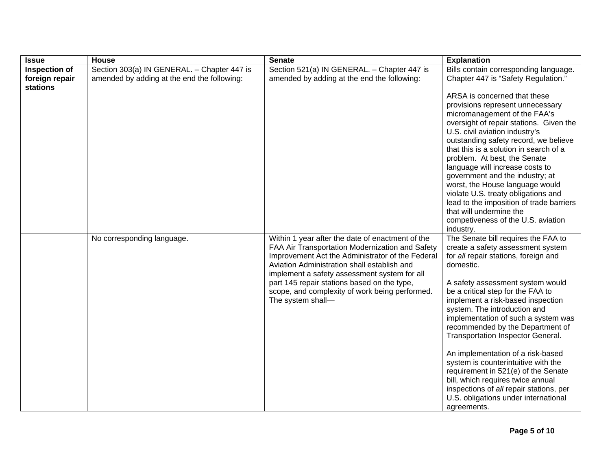| <b>Issue</b>                    | <b>House</b>                                                                               | <b>Senate</b>                                                                                                                                                                                                                                                                                                                                                                | <b>Explanation</b>                                                                                                                                                                                                                                                                                                                                                                                                                                                                                                                                                                                                                                    |
|---------------------------------|--------------------------------------------------------------------------------------------|------------------------------------------------------------------------------------------------------------------------------------------------------------------------------------------------------------------------------------------------------------------------------------------------------------------------------------------------------------------------------|-------------------------------------------------------------------------------------------------------------------------------------------------------------------------------------------------------------------------------------------------------------------------------------------------------------------------------------------------------------------------------------------------------------------------------------------------------------------------------------------------------------------------------------------------------------------------------------------------------------------------------------------------------|
| Inspection of<br>foreign repair | Section 303(a) IN GENERAL. - Chapter 447 is<br>amended by adding at the end the following: | Section 521(a) IN GENERAL. - Chapter 447 is<br>amended by adding at the end the following:                                                                                                                                                                                                                                                                                   | Bills contain corresponding language.<br>Chapter 447 is "Safety Regulation."                                                                                                                                                                                                                                                                                                                                                                                                                                                                                                                                                                          |
| stations                        |                                                                                            |                                                                                                                                                                                                                                                                                                                                                                              | ARSA is concerned that these<br>provisions represent unnecessary<br>micromanagement of the FAA's<br>oversight of repair stations. Given the<br>U.S. civil aviation industry's<br>outstanding safety record, we believe<br>that this is a solution in search of a<br>problem. At best, the Senate<br>language will increase costs to<br>government and the industry; at<br>worst, the House language would<br>violate U.S. treaty obligations and<br>lead to the imposition of trade barriers<br>that will undermine the<br>competiveness of the U.S. aviation<br>industry.                                                                            |
|                                 | No corresponding language.                                                                 | Within 1 year after the date of enactment of the<br>FAA Air Transportation Modernization and Safety<br>Improvement Act the Administrator of the Federal<br>Aviation Administration shall establish and<br>implement a safety assessment system for all<br>part 145 repair stations based on the type,<br>scope, and complexity of work being performed.<br>The system shall- | The Senate bill requires the FAA to<br>create a safety assessment system<br>for all repair stations, foreign and<br>domestic.<br>A safety assessment system would<br>be a critical step for the FAA to<br>implement a risk-based inspection<br>system. The introduction and<br>implementation of such a system was<br>recommended by the Department of<br>Transportation Inspector General.<br>An implementation of a risk-based<br>system is counterintuitive with the<br>requirement in 521(e) of the Senate<br>bill, which requires twice annual<br>inspections of all repair stations, per<br>U.S. obligations under international<br>agreements. |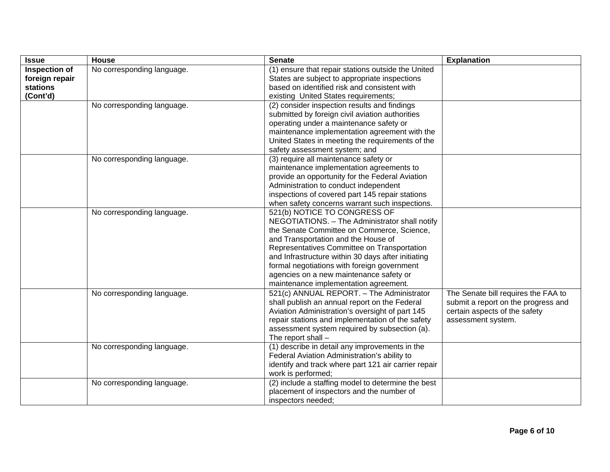| <b>Issue</b>                                            | House                      | <b>Senate</b>                                                                                                                                                                                                                                                                                                                                                                                               | <b>Explanation</b>                                                                                                                |
|---------------------------------------------------------|----------------------------|-------------------------------------------------------------------------------------------------------------------------------------------------------------------------------------------------------------------------------------------------------------------------------------------------------------------------------------------------------------------------------------------------------------|-----------------------------------------------------------------------------------------------------------------------------------|
| Inspection of<br>foreign repair<br>stations<br>(Cont'd) | No corresponding language. | (1) ensure that repair stations outside the United<br>States are subject to appropriate inspections<br>based on identified risk and consistent with<br>existing United States requirements;                                                                                                                                                                                                                 |                                                                                                                                   |
|                                                         | No corresponding language. | (2) consider inspection results and findings<br>submitted by foreign civil aviation authorities<br>operating under a maintenance safety or<br>maintenance implementation agreement with the<br>United States in meeting the requirements of the<br>safety assessment system; and                                                                                                                            |                                                                                                                                   |
|                                                         | No corresponding language. | (3) require all maintenance safety or<br>maintenance implementation agreements to<br>provide an opportunity for the Federal Aviation<br>Administration to conduct independent<br>inspections of covered part 145 repair stations<br>when safety concerns warrant such inspections.                                                                                                                          |                                                                                                                                   |
|                                                         | No corresponding language. | 521(b) NOTICE TO CONGRESS OF<br>NEGOTIATIONS. - The Administrator shall notify<br>the Senate Committee on Commerce, Science,<br>and Transportation and the House of<br>Representatives Committee on Transportation<br>and Infrastructure within 30 days after initiating<br>formal negotiations with foreign government<br>agencies on a new maintenance safety or<br>maintenance implementation agreement. |                                                                                                                                   |
|                                                         | No corresponding language. | 521(c) ANNUAL REPORT. - The Administrator<br>shall publish an annual report on the Federal<br>Aviation Administration's oversight of part 145<br>repair stations and implementation of the safety<br>assessment system required by subsection (a).<br>The report shall $-$                                                                                                                                  | The Senate bill requires the FAA to<br>submit a report on the progress and<br>certain aspects of the safety<br>assessment system. |
|                                                         | No corresponding language. | (1) describe in detail any improvements in the<br>Federal Aviation Administration's ability to<br>identify and track where part 121 air carrier repair<br>work is performed;                                                                                                                                                                                                                                |                                                                                                                                   |
|                                                         | No corresponding language. | (2) include a staffing model to determine the best<br>placement of inspectors and the number of<br>inspectors needed;                                                                                                                                                                                                                                                                                       |                                                                                                                                   |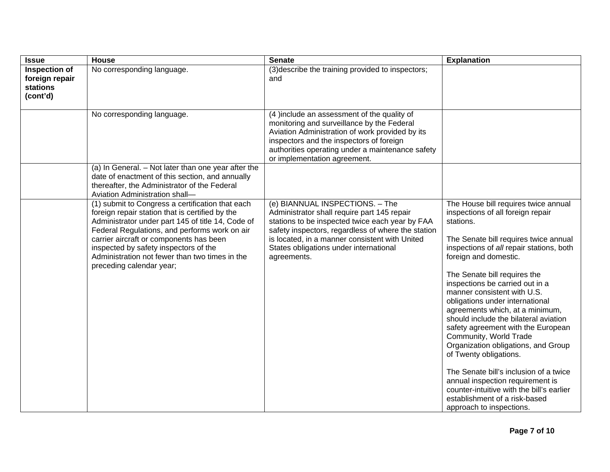| <b>Issue</b>                                                   | House                                                                                                                                                                                                                                                                                                                                                                       | <b>Senate</b>                                                                                                                                                                                                                                                                                      | <b>Explanation</b>                                                                                                                                                                                                                                                                                                                                                                                                                                                                                                                                                                                                                                                                                                                             |
|----------------------------------------------------------------|-----------------------------------------------------------------------------------------------------------------------------------------------------------------------------------------------------------------------------------------------------------------------------------------------------------------------------------------------------------------------------|----------------------------------------------------------------------------------------------------------------------------------------------------------------------------------------------------------------------------------------------------------------------------------------------------|------------------------------------------------------------------------------------------------------------------------------------------------------------------------------------------------------------------------------------------------------------------------------------------------------------------------------------------------------------------------------------------------------------------------------------------------------------------------------------------------------------------------------------------------------------------------------------------------------------------------------------------------------------------------------------------------------------------------------------------------|
| Inspection of<br>foreign repair<br><b>stations</b><br>(cont'd) | No corresponding language.                                                                                                                                                                                                                                                                                                                                                  | (3) describe the training provided to inspectors;<br>and                                                                                                                                                                                                                                           |                                                                                                                                                                                                                                                                                                                                                                                                                                                                                                                                                                                                                                                                                                                                                |
|                                                                | No corresponding language.                                                                                                                                                                                                                                                                                                                                                  | (4) include an assessment of the quality of<br>monitoring and surveillance by the Federal<br>Aviation Administration of work provided by its<br>inspectors and the inspectors of foreign<br>authorities operating under a maintenance safety<br>or implementation agreement.                       |                                                                                                                                                                                                                                                                                                                                                                                                                                                                                                                                                                                                                                                                                                                                                |
|                                                                | (a) In General. - Not later than one year after the<br>date of enactment of this section, and annually<br>thereafter, the Administrator of the Federal<br>Aviation Administration shall-                                                                                                                                                                                    |                                                                                                                                                                                                                                                                                                    |                                                                                                                                                                                                                                                                                                                                                                                                                                                                                                                                                                                                                                                                                                                                                |
|                                                                | (1) submit to Congress a certification that each<br>foreign repair station that is certified by the<br>Administrator under part 145 of title 14, Code of<br>Federal Regulations, and performs work on air<br>carrier aircraft or components has been<br>inspected by safety inspectors of the<br>Administration not fewer than two times in the<br>preceding calendar year; | (e) BIANNUAL INSPECTIONS. - The<br>Administrator shall require part 145 repair<br>stations to be inspected twice each year by FAA<br>safety inspectors, regardless of where the station<br>is located, in a manner consistent with United<br>States obligations under international<br>agreements. | The House bill requires twice annual<br>inspections of all foreign repair<br>stations.<br>The Senate bill requires twice annual<br>inspections of all repair stations, both<br>foreign and domestic.<br>The Senate bill requires the<br>inspections be carried out in a<br>manner consistent with U.S.<br>obligations under international<br>agreements which, at a minimum,<br>should include the bilateral aviation<br>safety agreement with the European<br>Community, World Trade<br>Organization obligations, and Group<br>of Twenty obligations.<br>The Senate bill's inclusion of a twice<br>annual inspection requirement is<br>counter-intuitive with the bill's earlier<br>establishment of a risk-based<br>approach to inspections. |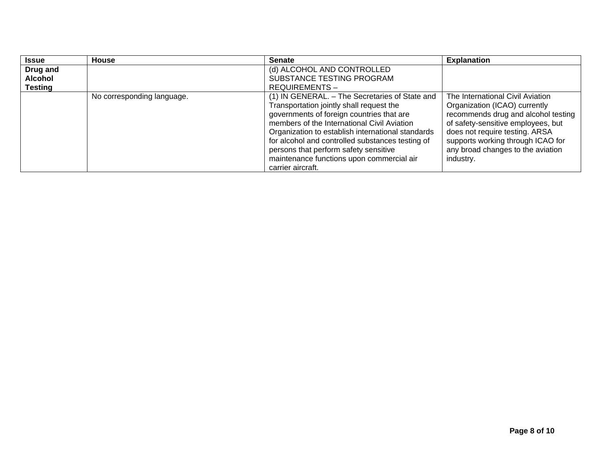| <b>Issue</b>   | <b>House</b>               | <b>Senate</b>                                     | <b>Explanation</b>                  |
|----------------|----------------------------|---------------------------------------------------|-------------------------------------|
| Drug and       |                            | (d) ALCOHOL AND CONTROLLED                        |                                     |
| Alcohol        |                            | SUBSTANCE TESTING PROGRAM                         |                                     |
| <b>Testing</b> |                            | <b>REQUIREMENTS-</b>                              |                                     |
|                | No corresponding language. | (1) IN GENERAL. - The Secretaries of State and    | The International Civil Aviation    |
|                |                            | Transportation jointly shall request the          | Organization (ICAO) currently       |
|                |                            | governments of foreign countries that are         | recommends drug and alcohol testing |
|                |                            | members of the International Civil Aviation       | of safety-sensitive employees, but  |
|                |                            | Organization to establish international standards | does not require testing. ARSA      |
|                |                            | for alcohol and controlled substances testing of  | supports working through ICAO for   |
|                |                            | persons that perform safety sensitive             | any broad changes to the aviation   |
|                |                            | maintenance functions upon commercial air         | industry.                           |
|                |                            | carrier aircraft.                                 |                                     |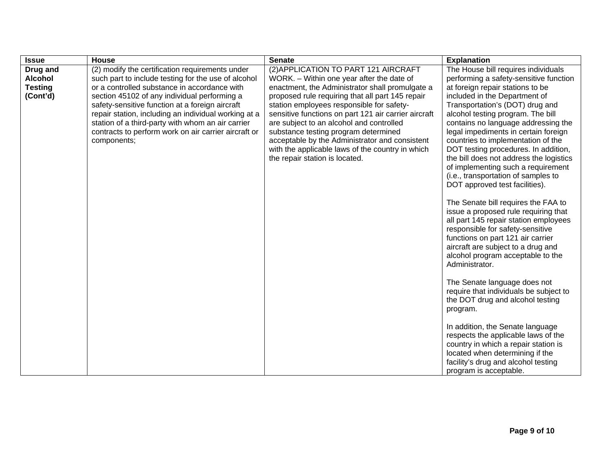| <b>Issue</b>   | <b>House</b>                                                        | <b>Senate</b>                                                                          | <b>Explanation</b>                                                         |
|----------------|---------------------------------------------------------------------|----------------------------------------------------------------------------------------|----------------------------------------------------------------------------|
| Drug and       | (2) modify the certification requirements under                     | (2) APPLICATION TO PART 121 AIRCRAFT                                                   | The House bill requires individuals                                        |
| <b>Alcohol</b> | such part to include testing for the use of alcohol                 | WORK. - Within one year after the date of                                              | performing a safety-sensitive function                                     |
| <b>Testing</b> | or a controlled substance in accordance with                        | enactment, the Administrator shall promulgate a                                        | at foreign repair stations to be                                           |
| (Cont'd)       | section 45102 of any individual performing a                        | proposed rule requiring that all part 145 repair                                       | included in the Department of                                              |
|                | safety-sensitive function at a foreign aircraft                     | station employees responsible for safety-                                              | Transportation's (DOT) drug and                                            |
|                | repair station, including an individual working at a                | sensitive functions on part 121 air carrier aircraft                                   | alcohol testing program. The bill                                          |
|                | station of a third-party with whom an air carrier                   | are subject to an alcohol and controlled                                               | contains no language addressing the                                        |
|                | contracts to perform work on air carrier aircraft or<br>components; | substance testing program determined<br>acceptable by the Administrator and consistent | legal impediments in certain foreign<br>countries to implementation of the |
|                |                                                                     | with the applicable laws of the country in which                                       | DOT testing procedures. In addition,                                       |
|                |                                                                     | the repair station is located.                                                         | the bill does not address the logistics                                    |
|                |                                                                     |                                                                                        | of implementing such a requirement                                         |
|                |                                                                     |                                                                                        | (i.e., transportation of samples to                                        |
|                |                                                                     |                                                                                        | DOT approved test facilities).                                             |
|                |                                                                     |                                                                                        |                                                                            |
|                |                                                                     |                                                                                        | The Senate bill requires the FAA to                                        |
|                |                                                                     |                                                                                        | issue a proposed rule requiring that                                       |
|                |                                                                     |                                                                                        | all part 145 repair station employees                                      |
|                |                                                                     |                                                                                        | responsible for safety-sensitive<br>functions on part 121 air carrier      |
|                |                                                                     |                                                                                        | aircraft are subject to a drug and                                         |
|                |                                                                     |                                                                                        | alcohol program acceptable to the                                          |
|                |                                                                     |                                                                                        | Administrator.                                                             |
|                |                                                                     |                                                                                        |                                                                            |
|                |                                                                     |                                                                                        | The Senate language does not                                               |
|                |                                                                     |                                                                                        | require that individuals be subject to                                     |
|                |                                                                     |                                                                                        | the DOT drug and alcohol testing                                           |
|                |                                                                     |                                                                                        | program.                                                                   |
|                |                                                                     |                                                                                        | In addition, the Senate language                                           |
|                |                                                                     |                                                                                        | respects the applicable laws of the                                        |
|                |                                                                     |                                                                                        | country in which a repair station is                                       |
|                |                                                                     |                                                                                        | located when determining if the                                            |
|                |                                                                     |                                                                                        | facility's drug and alcohol testing                                        |
|                |                                                                     |                                                                                        | program is acceptable.                                                     |